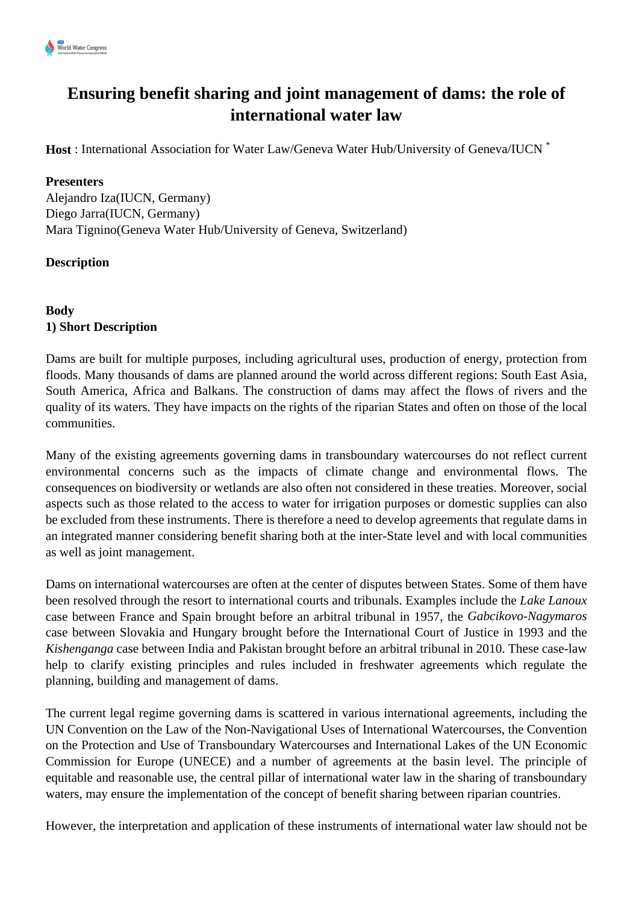

# **Ensuring benefit sharing and joint management of dams: the role of international water law**

**Host** : International Association for Water Law/Geneva Water Hub/University of Geneva/IUCN<sup>\*</sup>

## **Presenters**

Alejandro Iza(IUCN, Germany) Diego Jarra(IUCN, Germany) Mara Tignino(Geneva Water Hub/University of Geneva, Switzerland)

## **Description**

**Body 1) Short Description**

Dams are built for multiple purposes, including agricultural uses, production of energy, protection from floods. Many thousands of dams are planned around the world across different regions: South East Asia, South America, Africa and Balkans. The construction of dams may affect the flows of rivers and the quality of its waters. They have impacts on the rights of the riparian States and often on those of the local communities.

Many of the existing agreements governing dams in transboundary watercourses do not reflect current environmental concerns such as the impacts of climate change and environmental flows. The consequences on biodiversity or wetlands are also often not considered in these treaties. Moreover, social aspects such as those related to the access to water for irrigation purposes or domestic supplies can also be excluded from these instruments. There is therefore a need to develop agreements that regulate dams in an integrated manner considering benefit sharing both at the inter-State level and with local communities as well as joint management.

Dams on international watercourses are often at the center of disputes between States. Some of them have been resolved through the resort to international courts and tribunals. Examples include the *Lake Lanoux* case between France and Spain brought before an arbitral tribunal in 1957, the *Gabcikovo-Nagymaros* case between Slovakia and Hungary brought before the International Court of Justice in 1993 and the *Kishenganga* case between India and Pakistan brought before an arbitral tribunal in 2010. These case-law help to clarify existing principles and rules included in freshwater agreements which regulate the planning, building and management of dams.

The current legal regime governing dams is scattered in various international agreements, including the UN Convention on the Law of the Non-Navigational Uses of International Watercourses, the Convention on the Protection and Use of Transboundary Watercourses and International Lakes of the UN Economic Commission for Europe (UNECE) and a number of agreements at the basin level. The principle of equitable and reasonable use, the central pillar of international water law in the sharing of transboundary waters, may ensure the implementation of the concept of benefit sharing between riparian countries.

However, the interpretation and application of these instruments of international water law should not be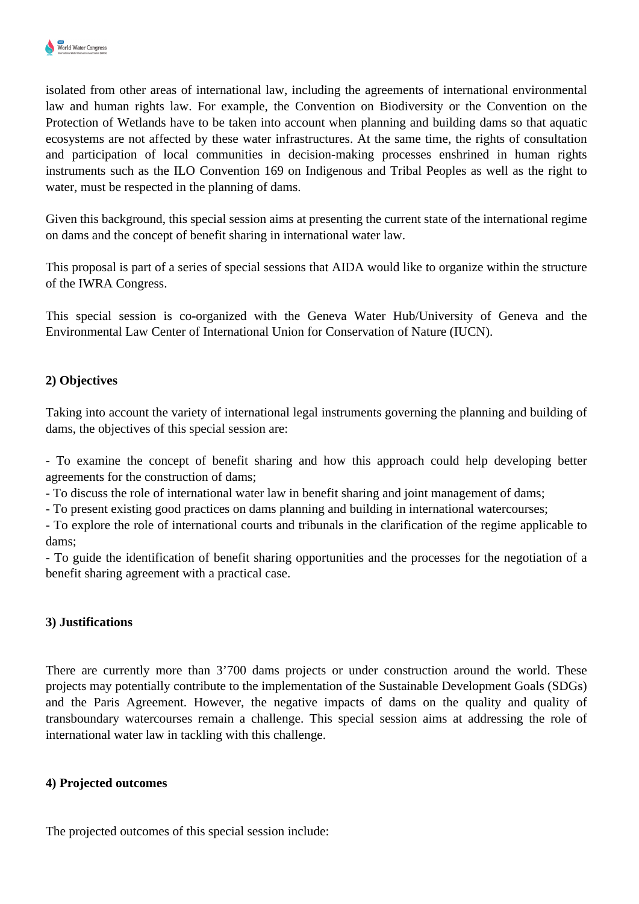

isolated from other areas of international law, including the agreements of international environmental law and human rights law. For example, the Convention on Biodiversity or the Convention on the Protection of Wetlands have to be taken into account when planning and building dams so that aquatic ecosystems are not affected by these water infrastructures. At the same time, the rights of consultation and participation of local communities in decision-making processes enshrined in human rights instruments such as the ILO Convention 169 on Indigenous and Tribal Peoples as well as the right to water, must be respected in the planning of dams.

Given this background, this special session aims at presenting the current state of the international regime on dams and the concept of benefit sharing in international water law.

This proposal is part of a series of special sessions that AIDA would like to organize within the structure of the IWRA Congress.

This special session is co-organized with the Geneva Water Hub/University of Geneva and the Environmental Law Center of International Union for Conservation of Nature (IUCN).

## **2) Objectives**

Taking into account the variety of international legal instruments governing the planning and building of dams, the objectives of this special session are:

- To examine the concept of benefit sharing and how this approach could help developing better agreements for the construction of dams;

- To discuss the role of international water law in benefit sharing and joint management of dams;

- To present existing good practices on dams planning and building in international watercourses;

- To explore the role of international courts and tribunals in the clarification of the regime applicable to dams;

- To guide the identification of benefit sharing opportunities and the processes for the negotiation of a benefit sharing agreement with a practical case.

## **3) Justifications**

There are currently more than 3'700 dams projects or under construction around the world. These projects may potentially contribute to the implementation of the Sustainable Development Goals (SDGs) and the Paris Agreement. However, the negative impacts of dams on the quality and quality of transboundary watercourses remain a challenge. This special session aims at addressing the role of international water law in tackling with this challenge.

## **4) Projected outcomes**

The projected outcomes of this special session include: